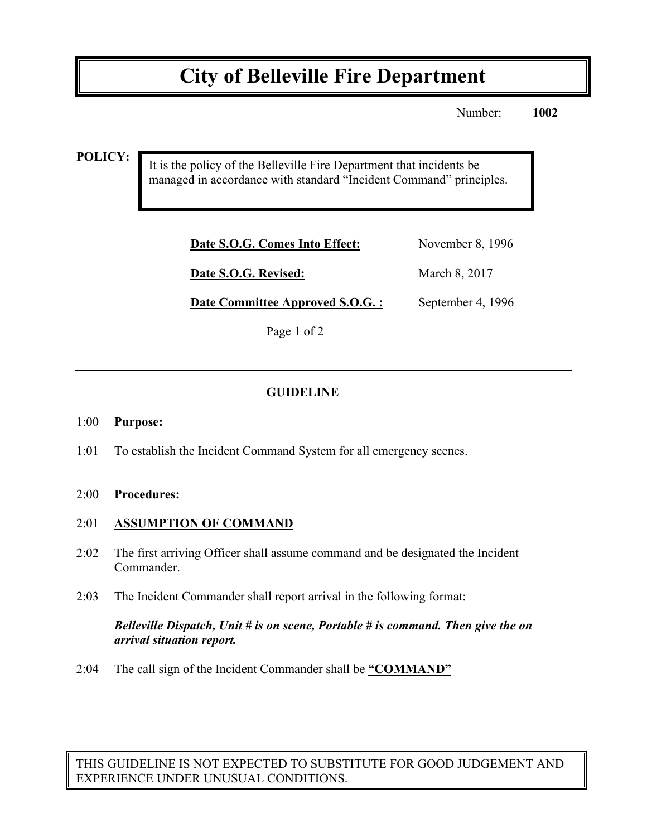# **City of Belleville Fire Department**

Number: **1002**

**POLICY:**

It is the policy of the Belleville Fire Department that incidents be managed in accordance with standard "Incident Command" principles.

| Date S.O.G. Comes Into Effect:  | November 8, 1996  |
|---------------------------------|-------------------|
| Date S.O.G. Revised:            | March 8, 2017     |
| Date Committee Approved S.O.G.: | September 4, 1996 |

Page 1 of 2

## **GUIDELINE**

#### 1:00 **Purpose:**

1:01 To establish the Incident Command System for all emergency scenes.

### 2:00 **Procedures:**

### 2:01 **ASSUMPTION OF COMMAND**

- 2:02 The first arriving Officer shall assume command and be designated the Incident Commander.
- 2:03 The Incident Commander shall report arrival in the following format:

#### *Belleville Dispatch, Unit # is on scene, Portable # is command. Then give the on arrival situation report.*

2:04 The call sign of the Incident Commander shall be **"COMMAND"**

THIS GUIDELINE IS NOT EXPECTED TO SUBSTITUTE FOR GOOD JUDGEMENT AND EXPERIENCE UNDER UNUSUAL CONDITIONS.